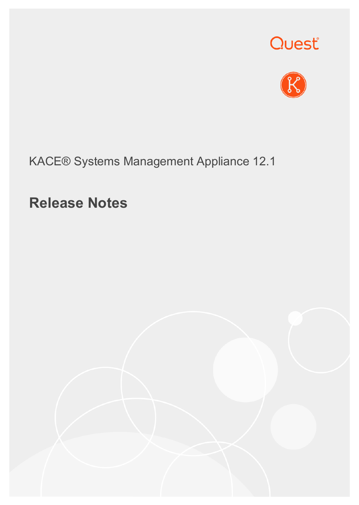



## KACE® Systems Management Appliance 12.1

**Release Notes**

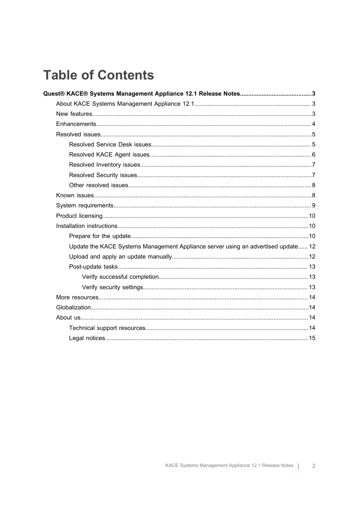## **Table of Contents**

| Update the KACE Systems Management Appliance server using an advertised update 12 |  |
|-----------------------------------------------------------------------------------|--|
|                                                                                   |  |
|                                                                                   |  |
|                                                                                   |  |
|                                                                                   |  |
|                                                                                   |  |
|                                                                                   |  |
|                                                                                   |  |
|                                                                                   |  |
|                                                                                   |  |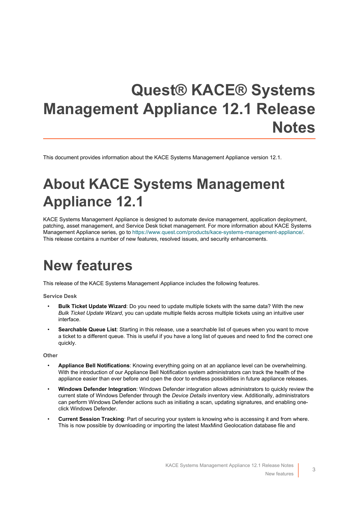# <span id="page-2-0"></span>**Quest® KACE® Systems Management Appliance 12.1 Release Notes**

This document provides information about the KACE Systems Management Appliance version 12.1.

# <span id="page-2-1"></span>**About KACE Systems Management Appliance 12.1**

KACE Systems Management Appliance is designed to automate device management, application deployment, patching, asset management, and Service Desk ticket management. For more information about KACE Systems Management Appliance series, go to https://www.guest.com/products/kace-systems-management-appliance/. This release contains a number of new features, resolved issues, and security enhancements.

# <span id="page-2-2"></span>**New features**

This release of the KACE Systems Management Appliance includes the following features.

**Service Desk**

- **Bulk Ticket Update Wizard**: Do you need to update multiple tickets with the same data? With the new *Bulk Ticket Update Wizard*, you can update multiple fields across multiple tickets using an intuitive user interface.
- **Searchable Queue List**: Starting in this release, use a searchable list of queues when you want to move a ticket to a different queue. This is useful if you have a long list of queues and need to find the correct one quickly.

#### **Other**

- **Appliance Bell Notifications**: Knowing everything going on at an appliance level can be overwhelming. With the introduction of our Appliance Bell Notification system administrators can track the health of the appliance easier than ever before and open the door to endless possibilities in future appliance releases.
- **Windows Defender Integration**: Windows Defender integration allows administrators to quickly review the current state of Windows Defender through the *Device Details* inventory view. Additionally, administrators can perform Windows Defender actions such as initiating a scan, updating signatures, and enabling oneclick Windows Defender.
- **Current Session Tracking**: Part of securing your system is knowing who is accessing it and from where. This is now possible by downloading or importing the latest MaxMind Geolocation database file and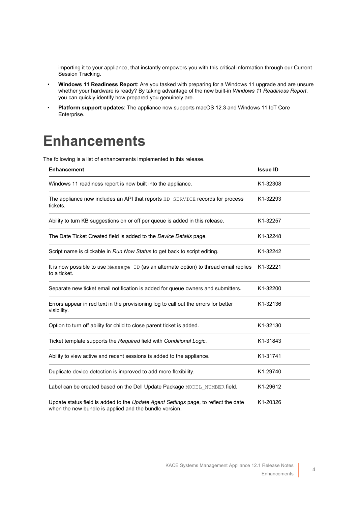importing it to your appliance, that instantly empowers you with this critical information through our Current Session Tracking.

- **Windows 11 Readiness Report**: Are you tasked with preparing for a Windows 11 upgrade and are unsure whether your hardware is ready? By taking advantage of the new built-in *Windows 11 Readiness Report*, you can quickly identify how prepared you genuinely are.
- **Platform support updates**: The appliance now supports macOS 12.3 and Windows 11 IoT Core Enterprise.

## <span id="page-3-0"></span>**Enhancements**

The following is a list of enhancements implemented in this release.

| <b>Enhancement</b>                                                                                                                            | <b>Issue ID</b>       |
|-----------------------------------------------------------------------------------------------------------------------------------------------|-----------------------|
| Windows 11 readiness report is now built into the appliance.                                                                                  | K <sub>1</sub> -32308 |
| The appliance now includes an API that reports HD SERVICE records for process<br>tickets.                                                     | K1-32293              |
| Ability to turn KB suggestions on or off per queue is added in this release.                                                                  | K1-32257              |
| The Date Ticket Created field is added to the Device Details page.                                                                            | K1-32248              |
| Script name is clickable in Run Now Status to get back to script editing.                                                                     | K1-32242              |
| It is now possible to use Message-ID (as an alternate option) to thread email replies<br>to a ticket.                                         | K1-32221              |
| Separate new ticket email notification is added for queue owners and submitters.                                                              | K1-32200              |
| Errors appear in red text in the provisioning log to call out the errors for better<br>visibility.                                            | K1-32136              |
| Option to turn off ability for child to close parent ticket is added.                                                                         | K1-32130              |
| Ticket template supports the Required field with Conditional Logic.                                                                           | K1-31843              |
| Ability to view active and recent sessions is added to the appliance.                                                                         | K1-31741              |
| Duplicate device detection is improved to add more flexibility.                                                                               | K1-29740              |
| Label can be created based on the Dell Update Package MODEL NUMBER field.                                                                     | K1-29612              |
| Update status field is added to the Update Agent Settings page, to reflect the date<br>when the new bundle is applied and the bundle version. | K1-20326              |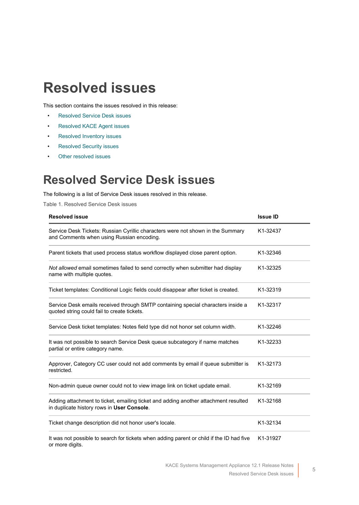## <span id="page-4-0"></span>**Resolved issues**

This section contains the issues resolved in this release:

- [Resolved Service Desk issues](#page-4-1)
- [Resolved KACE Agent issues](#page-5-0)
- [Resolved Inventory issues](#page-6-0)
- [Resolved Security issues](#page-6-1)
- [Other resolved issues](#page-7-0)

### <span id="page-4-1"></span>**Resolved Service Desk issues**

The following is a list of Service Desk issues resolved in this release.

Table 1. Resolved Service Desk issues

| <b>Resolved issue</b>                                                                                                             | <b>Issue ID</b>       |
|-----------------------------------------------------------------------------------------------------------------------------------|-----------------------|
| Service Desk Tickets: Russian Cyrillic characters were not shown in the Summary<br>and Comments when using Russian encoding.      | K1-32437              |
| Parent tickets that used process status workflow displayed close parent option.                                                   | K1-32346              |
| Not allowed email sometimes failed to send correctly when submitter had display<br>name with multiple quotes.                     | K <sub>1</sub> -32325 |
| Ticket templates: Conditional Logic fields could disappear after ticket is created.                                               | K1-32319              |
| Service Desk emails received through SMTP containing special characters inside a<br>quoted string could fail to create tickets.   | K1-32317              |
| Service Desk ticket templates: Notes field type did not honor set column width.                                                   | K1-32246              |
| It was not possible to search Service Desk queue subcategory if name matches<br>partial or entire category name.                  | K1-32233              |
| Approver, Category CC user could not add comments by email if queue submitter is<br>restricted.                                   | K1-32173              |
| Non-admin queue owner could not to view image link on ticket update email.                                                        | K1-32169              |
| Adding attachment to ticket, emailing ticket and adding another attachment resulted<br>in duplicate history rows in User Console. | K1-32168              |
| Ticket change description did not honor user's locale.                                                                            | K1-32134              |
| It was not possible to search for tickets when adding parent or child if the ID had five<br>or more digits.                       | K1-31927              |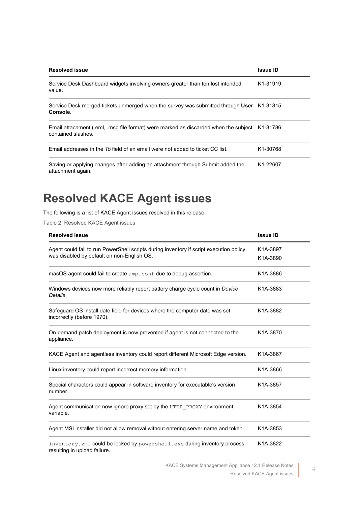| <b>Resolved issue</b>                                                                                     | <b>Issue ID</b>       |
|-----------------------------------------------------------------------------------------------------------|-----------------------|
| Service Desk Dashboard widgets involving owners greater than ten lost intended<br>value.                  | K <sub>1</sub> -31919 |
| Service Desk merged tickets unmerged when the survey was submitted through User K1-31815<br>Console.      |                       |
| Email attachment (.eml. .msg file format) were marked as discarded when the subject<br>contained slashes. | K <sub>1</sub> -31786 |
| Email addresses in the To field of an email were not added to ticket CC list.                             | K <sub>1</sub> -30768 |
| Saving or applying changes after adding an attachment through Submit added the<br>attachment again.       | K <sub>1</sub> -22607 |

## <span id="page-5-0"></span>**Resolved KACE Agent issues**

The following is a list of KACE Agent issues resolved in this release.

Table 2. Resolved KACE Agent issues

| <b>Resolved issue</b>                                                                                       | <b>Issue ID</b>       |
|-------------------------------------------------------------------------------------------------------------|-----------------------|
| Agent could fail to run PowerShell scripts during inventory if script execution policy                      | K1A-3897              |
| was disabled by default on non-English OS.                                                                  | K1A-3890              |
| macOS agent could fail to create amp.conf due to debug assertion.                                           | K1A-3886              |
| Windows devices now more reliably report battery charge cycle count in Device<br>Details.                   | K <sub>1</sub> A-3883 |
| Safeguard OS install date field for devices where the computer date was set<br>incorrectly (before 1970).   | K1A-3882              |
| On-demand patch deployment is now prevented if agent is not connected to the<br>appliance.                  | K1A-3870              |
| KACE Agent and agentless inventory could report different Microsoft Edge version.                           | K <sub>1</sub> A-3867 |
| Linux inventory could report incorrect memory information.                                                  | K1A-3866              |
| Special characters could appear in software inventory for executable's version<br>number.                   | K1A-3857              |
| Agent communication now ignore proxy set by the HTTP PROXY environment<br>variable.                         | K1A-3854              |
| Agent MSI installer did not allow removal without entering server name and token.                           | K1A-3853              |
| inventory. xml could be locked by powershell. exe during inventory process,<br>resulting in upload failure. | K1A-3822              |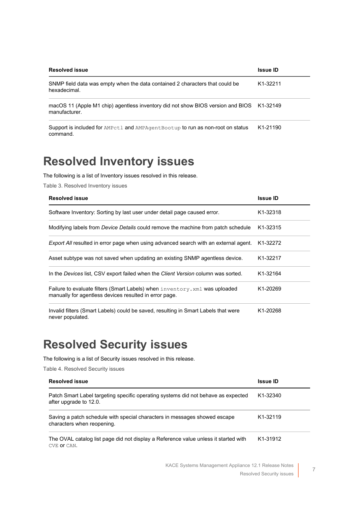| <b>Resolved issue</b>                                                                                     | <b>Issue ID</b>       |
|-----------------------------------------------------------------------------------------------------------|-----------------------|
| SNMP field data was empty when the data contained 2 characters that could be<br>hexadecimal               | K <sub>1</sub> -32211 |
| macOS 11 (Apple M1 chip) agentless inventory did not show BIOS version and BIOS K1-32149<br>manufacturer. |                       |
| Support is included for AMPct1 and AMPAgentBootup to run as non-root on status<br>command.                | K <sub>1</sub> -21190 |

### <span id="page-6-0"></span>**Resolved Inventory issues**

The following is a list of Inventory issues resolved in this release.

Table 3. Resolved Inventory issues

| <b>Resolved issue</b>                                                                                                                                    | <b>Issue ID</b>       |
|----------------------------------------------------------------------------------------------------------------------------------------------------------|-----------------------|
| Software Inventory: Sorting by last user under detail page caused error.                                                                                 | K <sub>1</sub> -32318 |
| Modifying labels from <i>Device Details</i> could remove the machine from patch schedule                                                                 | K <sub>1</sub> -32315 |
| <i>Export All</i> resulted in error page when using advanced search with an external agent.                                                              | K <sub>1</sub> -32272 |
| Asset subtype was not saved when updating an existing SNMP agentless device.                                                                             | K1-32217              |
| In the Devices list, CSV export failed when the Client Version column was sorted.                                                                        | K <sub>1</sub> -32164 |
| Failure to evaluate filters (Smart Labels) when $\text{inventory}$ , $\text{xml}$ was uploaded<br>manually for agentless devices resulted in error page. | K <sub>1</sub> -20269 |
| Invalid filters (Smart Labels) could be saved, resulting in Smart Labels that were<br>never populated.                                                   | K1-20268              |

### <span id="page-6-1"></span>**Resolved Security issues**

The following is a list of Security issues resolved in this release.

Table 4. Resolved Security issues

| <b>Resolved issue</b>                                                                                       | <b>Issue ID</b>       |
|-------------------------------------------------------------------------------------------------------------|-----------------------|
| Patch Smart Label targeting specific operating systems did not behave as expected<br>after upgrade to 12.0. | K <sub>1</sub> -32340 |
| Saving a patch schedule with special characters in messages showed escape<br>characters when reopening.     | K <sub>1</sub> -32119 |
| The OVAL catalog list page did not display a Reference value unless it started with<br>CVE or CAN.          | K <sub>1</sub> -31912 |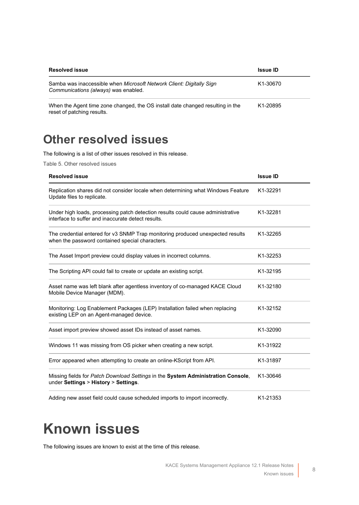| <b>Resolved issue</b>                                                                                        | <b>Issue ID</b>       |
|--------------------------------------------------------------------------------------------------------------|-----------------------|
| Samba was inaccessible when Microsoft Network Client: Digitally Sign<br>Communications (always) was enabled. | K <sub>1</sub> -30670 |
| When the Agent time zone changed, the OS install date changed resulting in the<br>reset of patching results. | K <sub>1</sub> -20895 |

### <span id="page-7-0"></span>**Other resolved issues**

The following is a list of other issues resolved in this release.

Table 5. Other resolved issues

| <b>Resolved issue</b>                                                                                                                 | <b>Issue ID</b> |
|---------------------------------------------------------------------------------------------------------------------------------------|-----------------|
| Replication shares did not consider locale when determining what Windows Feature<br>Update files to replicate.                        | K1-32291        |
| Under high loads, processing patch detection results could cause administrative<br>interface to suffer and inaccurate detect results. | K1-32281        |
| The credential entered for v3 SNMP Trap monitoring produced unexpected results<br>when the password contained special characters.     | K1-32265        |
| The Asset Import preview could display values in incorrect columns.                                                                   | K1-32253        |
| The Scripting API could fail to create or update an existing script.                                                                  | K1-32195        |
| Asset name was left blank after agentless inventory of co-managed KACE Cloud<br>Mobile Device Manager (MDM).                          | K1-32180        |
| Monitoring: Log Enablement Packages (LEP) Installation failed when replacing<br>existing LEP on an Agent-managed device.              | K1-32152        |
| Asset import preview showed asset IDs instead of asset names.                                                                         | K1-32090        |
| Windows 11 was missing from OS picker when creating a new script.                                                                     | K1-31922        |
| Error appeared when attempting to create an online-KScript from API.                                                                  | K1-31897        |
| Missing fields for Patch Download Settings in the System Administration Console,<br>under Settings > History > Settings.              | K1-30646        |
|                                                                                                                                       |                 |

Adding new asset field could cause scheduled imports to import incorrectly. K1-21353

# <span id="page-7-1"></span>**Known issues**

The following issues are known to exist at the time of this release.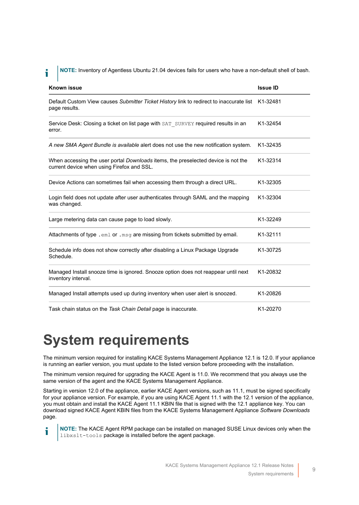**NOTE:** Inventory of Agentless Ubuntu 21.04 devices fails for users who have a non-default shell of bash. i

| <b>Known issue</b>                                                                                                              | <b>Issue ID</b> |
|---------------------------------------------------------------------------------------------------------------------------------|-----------------|
| Default Custom View causes Submitter Ticket History link to redirect to inaccurate list<br>page results.                        | K1-32481        |
| Service Desk: Closing a ticket on list page with SAT SURVEY required results in an<br>error.                                    | K1-32454        |
| A new SMA Agent Bundle is available alert does not use the new notification system.                                             | K1-32435        |
| When accessing the user portal Downloads items, the preselected device is not the<br>current device when using Firefox and SSL. | K1-32314        |
| Device Actions can sometimes fail when accessing them through a direct URL.                                                     | K1-32305        |
| Login field does not update after user authenticates through SAML and the mapping<br>was changed.                               | K1-32304        |
| Large metering data can cause page to load slowly.                                                                              | K1-32249        |
| Attachments of type . eml or . msq are missing from tickets submitted by email.                                                 | K1-32111        |
| Schedule info does not show correctly after disabling a Linux Package Upgrade<br>Schedule.                                      | K1-30725        |
| Managed Install snooze time is ignored. Snooze option does not reappear until next<br>inventory interval.                       | K1-20832        |
| Managed Install attempts used up during inventory when user alert is snoozed.                                                   | K1-20826        |
| Task chain status on the Task Chain Detail page is inaccurate.                                                                  | K1-20270        |

# <span id="page-8-0"></span>**System requirements**

The minimum version required for installing KACE Systems Management Appliance 12.1 is 12.0. If your appliance is running an earlier version, you must update to the listed version before proceeding with the installation.

The minimum version required for upgrading the KACE Agent is 11.0. We recommend that you always use the same version of the agent and the KACE Systems Management Appliance.

Starting in version 12.0 of the appliance, earlier KACE Agent versions, such as 11.1, must be signed specifically for your appliance version. For example, if you are using KACE Agent 11.1 with the 12.1 version of the appliance, you must obtain and install the KACE Agent 11.1 KBIN file that is signed with the 12.1 appliance key. You can download signed KACE Agent KBIN files from the KACE Systems Management Appliance *Software Downloads* page.

**NOTE:** The KACE Agent RPM package can be installed on managed SUSE Linux devices only when the ١ libxslt-tools package is installed before the agent package.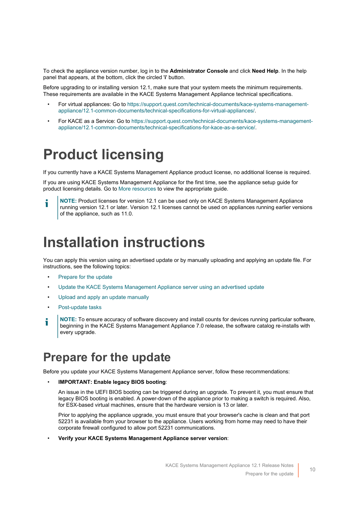To check the appliance version number, log in to the **Administrator Console** and click **Need Help**. In the help panel that appears, at the bottom, click the circled '**i**' button.

Before upgrading to or installing version 12.1, make sure that your system meets the minimum requirements. These requirements are available in the KACE Systems Management Appliance technical specifications.

- For virtual appliances: Go to [https://support.quest.com/technical-documents/kace-systems-management](https://support.quest.com/technical-documents/kace-systems-management-appliance/12.1-common-documents/technical-specifications-for-virtual-appliances/)[appliance/12.1-common-documents/technical-specifications-for-virtual-appliances/](https://support.quest.com/technical-documents/kace-systems-management-appliance/12.1-common-documents/technical-specifications-for-virtual-appliances/).
- For KACE as a Service: Go to [https://support.quest.com/technical-documents/kace-systems-management](https://support.quest.com/technical-documents/kace-systems-management-appliance/12.1-common-documents/technical-specifications-for-kace-as-a-service/)[appliance/12.1-common-documents/technical-specifications-for-kace-as-a-service/](https://support.quest.com/technical-documents/kace-systems-management-appliance/12.1-common-documents/technical-specifications-for-kace-as-a-service/).

## <span id="page-9-0"></span>**Product licensing**

If you currently have a KACE Systems Management Appliance product license, no additional license is required.

If you are using KACE Systems Management Appliance for the first time, see the appliance setup guide for product licensing details. Go to [More resources](#page-13-0) to view the appropriate guide.

**NOTE:** Product licenses for version 12.1 can be used only on KACE Systems Management Appliance i running version 12.1 or later. Version 12.1 licenses cannot be used on appliances running earlier versions of the appliance, such as 11.0.

# <span id="page-9-1"></span>**Installation instructions**

You can apply this version using an advertised update or by manually uploading and applying an update file. For instructions, see the following topics:

- [Prepare for the update](#page-9-2)
- [Update the KACE Systems Management Appliance server using an advertised update](#page-11-0)
- [Upload and apply an update manually](#page-11-1)
- [Post-update tasks](#page-12-0)
- **NOTE:** To ensure accuracy of software discovery and install counts for devices running particular software, i beginning in the KACE Systems Management Appliance 7.0 release, the software catalog re-installs with every upgrade.

### <span id="page-9-2"></span>**Prepare for the update**

Before you update your KACE Systems Management Appliance server, follow these recommendations:

• **IMPORTANT: Enable legacy BIOS booting**:

An issue in the UEFI BIOS booting can be triggered during an upgrade. To prevent it, you must ensure that legacy BIOS booting is enabled. A power-down of the appliance prior to making a switch is required. Also, for ESX-based virtual machines, ensure that the hardware version is 13 or later.

Prior to applying the appliance upgrade, you must ensure that your browser's cache is clean and that port 52231 is available from your browser to the appliance. Users working from home may need to have their corporate firewall configured to allow port 52231 communications.

• **Verify your KACE Systems Management Appliance server version**:

10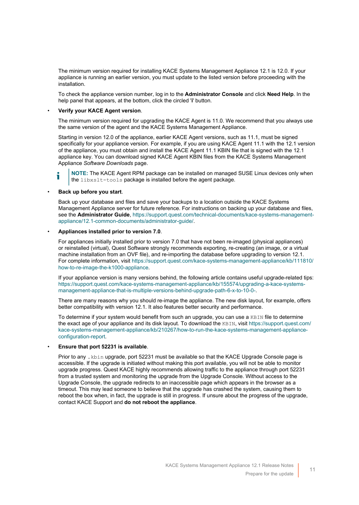The minimum version required for installing KACE Systems Management Appliance 12.1 is 12.0. If your appliance is running an earlier version, you must update to the listed version before proceeding with the installation.

To check the appliance version number, log in to the **Administrator Console** and click **Need Help**. In the help panel that appears, at the bottom, click the circled '**i**' button.

#### • **Verify your KACE Agent version**.

The minimum version required for upgrading the KACE Agent is 11.0. We recommend that you always use the same version of the agent and the KACE Systems Management Appliance.

Starting in version 12.0 of the appliance, earlier KACE Agent versions, such as 11.1, must be signed specifically for your appliance version. For example, if you are using KACE Agent 11.1 with the 12.1 version of the appliance, you must obtain and install the KACE Agent 11.1 KBIN file that is signed with the 12.1 appliance key. You can download signed KACE Agent KBIN files from the KACE Systems Management Appliance *Software Downloads* page.

**NOTE:** The KACE Agent RPM package can be installed on managed SUSE Linux devices only when the libxslt-tools package is installed before the agent package.

#### • **Back up before you start**.

Back up your database and files and save your backups to a location outside the KACE Systems Management Appliance server for future reference. For instructions on backing up your database and files, see the **Administrator Guide**, [https://support.quest.com/technical-documents/kace-systems-management](https://support.quest.com/technical-documents/kace-systems-management-appliance/12.1-common-documents/administrator-guide/)[appliance/12.1-common-documents/administrator-guide/](https://support.quest.com/technical-documents/kace-systems-management-appliance/12.1-common-documents/administrator-guide/).

#### • **Appliances installed prior to version 7.0**.

For appliances initially installed prior to version 7.0 that have not been re-imaged (physical appliances) or reinstalled (virtual), Quest Software strongly recommends exporting, re-creating (an image, or a virtual machine installation from an OVF file), and re-importing the database before upgrading to version 12.1. For complete information, visit [https://support.quest.com/kace-systems-management-appliance/kb/111810/](https://support.quest.com/kace-systems-management-appliance/kb/111810/how-to-re-image-the-k1000-appliance) [how-to-re-image-the-k1000-appliance](https://support.quest.com/kace-systems-management-appliance/kb/111810/how-to-re-image-the-k1000-appliance).

If your appliance version is many versions behind, the following article contains useful upgrade-related tips: [https://support.quest.com/kace-systems-management-appliance/kb/155574/upgrading-a-kace-systems](https://support.quest.com/kace-systems-management-appliance/kb/155574/upgrading-a-kace-systems-management-appliance-that-is-multiple-versions-behind-upgrade-path-6-x-to-10-0-)[management-appliance-that-is-multiple-versions-behind-upgrade-path-6-x-to-10-0-.](https://support.quest.com/kace-systems-management-appliance/kb/155574/upgrading-a-kace-systems-management-appliance-that-is-multiple-versions-behind-upgrade-path-6-x-to-10-0-)

There are many reasons why you should re-image the appliance. The new disk layout, for example, offers better compatibility with version 12.1. It also features better security and performance.

To determine if your system would benefit from such an upgrade, you can use a KBIN file to determine the exact age of your appliance and its disk layout. To download the KBIN, visit [https://support.quest.com/](https://support.quest.com/kace-systems-management-appliance/kb/210267/how-to-run-the-kace-systems-management-appliance-configuration-report) [kace-systems-management-appliance/kb/210267/how-to-run-the-kace-systems-management-appliance](https://support.quest.com/kace-systems-management-appliance/kb/210267/how-to-run-the-kace-systems-management-appliance-configuration-report)[configuration-report](https://support.quest.com/kace-systems-management-appliance/kb/210267/how-to-run-the-kace-systems-management-appliance-configuration-report).

#### • **Ensure that port 52231 is available**.

Prior to any, kbin upgrade, port 52231 must be available so that the KACE Upgrade Console page is accessible. If the upgrade is initiated without making this port available, you will not be able to monitor upgrade progress. Quest KACE highly recommends allowing traffic to the appliance through port 52231 from a trusted system and monitoring the upgrade from the Upgrade Console. Without access to the Upgrade Console, the upgrade redirects to an inaccessible page which appears in the browser as a timeout. This may lead someone to believe that the upgrade has crashed the system, causing them to reboot the box when, in fact, the upgrade is still in progress. If unsure about the progress of the upgrade, contact KACE Support and **do not reboot the appliance**.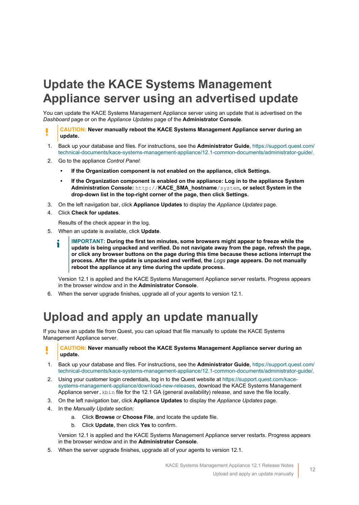## <span id="page-11-0"></span>**Update the KACE Systems Management Appliance server using an advertised update**

You can update the KACE Systems Management Appliance server using an update that is advertised on the *Dashboard* page or on the *Appliance Updates* page of the **Administrator Console**.

- **CAUTION: Never manually reboot the KACE Systems Management Appliance server during an update.**
- 1. Back up your database and files. For instructions, see the **Administrator Guide**, [https://support.quest.com/](https://support.quest.com/technical-documents/kace-systems-management-appliance/12.1-common-documents/administrator-guide/) [technical-documents/kace-systems-management-appliance/12.1-common-documents/administrator-guide/.](https://support.quest.com/technical-documents/kace-systems-management-appliance/12.1-common-documents/administrator-guide/)
- 2. Go to the appliance *Control Panel*:
	- **• If the Organization component is not enabled on the appliance, click Settings.**
	- **• If the Organization component is enabled on the appliance: Log in to the appliance System Administration Console:** http://**KACE\_SMA\_hostname**/system**, or select System in the drop-down list in the top-right corner of the page, then click Settings.**
- 3. On the left navigation bar, click **Appliance Updates** to display the *Appliance Updates* page.
- 4. Click **Check for updates**.

Results of the check appear in the log.

- 5. When an update is available, click **Update**.
	- **IMPORTANT: During the first ten minutes, some browsers might appear to freeze while the update is being unpacked and verified. Do not navigate away from the page, refresh the page, or click any browser buttons on the page during this time because these actions interrupt the process. After the update is unpacked and verified, the** *Logs* **page appears. Do not manually reboot the appliance at any time during the update process.**

Version 12.1 is applied and the KACE Systems Management Appliance server restarts. Progress appears in the browser window and in the **Administrator Console**.

6. When the server upgrade finishes, upgrade all of your agents to version 12.1.

### <span id="page-11-1"></span>**Upload and apply an update manually**

If you have an update file from Quest, you can upload that file manually to update the KACE Systems Management Appliance server.

- **CAUTION: Never manually reboot the KACE Systems Management Appliance server during an update.**
- 1. Back up your database and files. For instructions, see the **Administrator Guide**, [https://support.quest.com/](https://support.quest.com/technical-documents/kace-systems-management-appliance/12.1-common-documents/administrator-guide/) [technical-documents/kace-systems-management-appliance/12.1-common-documents/administrator-guide/.](https://support.quest.com/technical-documents/kace-systems-management-appliance/12.1-common-documents/administrator-guide/)
- 2. Using your customer login credentials, log in to the Quest website at [https://support.quest.com/kace](https://support.quest.com/kace-systems-management-appliance/download-new-releases)[systems-management-appliance/download-new-releases,](https://support.quest.com/kace-systems-management-appliance/download-new-releases) download the KACE Systems Management Appliance server. kbin file for the 12.1 GA (general availability) release, and save the file locally.
- 3. On the left navigation bar, click **Appliance Updates** to display the *Appliance Updates* page.
- 4. In the *Manually Update* section:
	- a. Click **Browse** or **Choose File**, and locate the update file.
	- b. Click **Update**, then click **Yes** to confirm.

Version 12.1 is applied and the KACE Systems Management Appliance server restarts. Progress appears in the browser window and in the **Administrator Console**.

5. When the server upgrade finishes, upgrade all of your agents to version 12.1.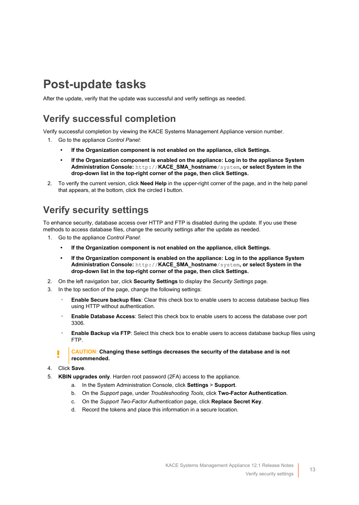## <span id="page-12-0"></span>**Post-update tasks**

After the update, verify that the update was successful and verify settings as needed.

### <span id="page-12-1"></span>**Verify successful completion**

Verify successful completion by viewing the KACE Systems Management Appliance version number.

- 1. Go to the appliance *Control Panel*:
	- **• If the Organization component is not enabled on the appliance, click Settings.**
	- **• If the Organization component is enabled on the appliance: Log in to the appliance System Administration Console:** http://**KACE\_SMA\_hostname**/system**, or select System in the drop-down list in the top-right corner of the page, then click Settings.**
- 2. To verify the current version, click **Need Help** in the upper-right corner of the page, and in the help panel that appears, at the bottom, click the circled **i** button.

### <span id="page-12-2"></span>**Verify security settings**

To enhance security, database access over HTTP and FTP is disabled during the update. If you use these methods to access database files, change the security settings after the update as needed.

- 1. Go to the appliance *Control Panel*:
	- **• If the Organization component is not enabled on the appliance, click Settings.**
	- **• If the Organization component is enabled on the appliance: Log in to the appliance System Administration Console:** http://**KACE\_SMA\_hostname**/system**, or select System in the drop-down list in the top-right corner of the page, then click Settings.**
- 2. On the left navigation bar, click **Security Settings** to display the *Security Settings* page.
- 3. In the top section of the page, change the following settings:
	- **Enable Secure backup files**: Clear this check box to enable users to access database backup files using HTTP without authentication.
	- **Enable Database Access:** Select this check box to enable users to access the database over port 3306.
	- **Enable Backup via FTP**: Select this check box to enable users to access database backup files using FTP.
	- **CAUTION: Changing these settings decreases the security of the database and is not recommended.**
- 4. Click **Save**.
- 5. **KBIN upgrades only**. Harden root password (2FA) access to the appliance.
	- a. In the System Administration Console, click **Settings** > **Support**.
	- b. On the *Support* page, under *Troubleshooting Tools*, click **Two-Factor Authentication**.
	- c. On the *Support Two-Factor Authentication* page, click **Replace Secret Key**.
	- d. Record the tokens and place this information in a secure location.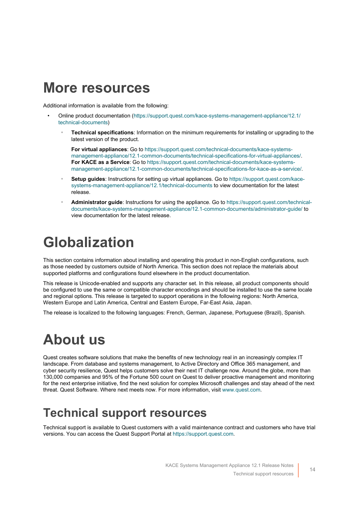## <span id="page-13-0"></span>**More resources**

Additional information is available from the following:

- Online product documentation ([https://support.quest.com/kace-systems-management-appliance/12.1/](https://support.quest.com/kace-systems-management-appliance/12.1/technical-documents) [technical-documents\)](https://support.quest.com/kace-systems-management-appliance/12.1/technical-documents)
	- **Technical specifications**: Information on the minimum requirements for installing or upgrading to the latest version of the product.

**For virtual appliances**: Go to [https://support.quest.com/technical-documents/kace-systems](https://support.quest.com/technical-documents/kace-systems-management-appliance/12.1-common-documents/technical-specifications-for-virtual-appliances/)[management-appliance/12.1-common-documents/technical-specifications-for-virtual-appliances/](https://support.quest.com/technical-documents/kace-systems-management-appliance/12.1-common-documents/technical-specifications-for-virtual-appliances/). **For KACE as a Service**: Go to [https://support.quest.com/technical-documents/kace-systems](https://support.quest.com/technical-documents/kace-systems-management-appliance/12.1-common-documents/technical-specifications-for-kace-as-a-service/)[management-appliance/12.1-common-documents/technical-specifications-for-kace-as-a-service/](https://support.quest.com/technical-documents/kace-systems-management-appliance/12.1-common-documents/technical-specifications-for-kace-as-a-service/).

- **Setup quides:** Instructions for setting up virtual appliances. Go to [https://support.quest.com/kace](https://support.quest.com/kace-systems-management-appliance/12.1/technical-documents)[systems-management-appliance/12.1/technical-documents](https://support.quest.com/kace-systems-management-appliance/12.1/technical-documents) to view documentation for the latest release.
- **Administrator guide**: Instructions for using the appliance. Go to [https://support.quest.com/technical](https://support.quest.com/technical-documents/kace-systems-management-appliance/12.1-common-documents/administrator-guide/)[documents/kace-systems-management-appliance/12.1-common-documents/administrator-guide/](https://support.quest.com/technical-documents/kace-systems-management-appliance/12.1-common-documents/administrator-guide/) to view documentation for the latest release.

# <span id="page-13-1"></span>**Globalization**

This section contains information about installing and operating this product in non-English configurations, such as those needed by customers outside of North America. This section does not replace the materials about supported platforms and configurations found elsewhere in the product documentation.

This release is Unicode-enabled and supports any character set. In this release, all product components should be configured to use the same or compatible character encodings and should be installed to use the same locale and regional options. This release is targeted to support operations in the following regions: North America, Western Europe and Latin America, Central and Eastern Europe, Far-East Asia, Japan.

The release is localized to the following languages: French, German, Japanese, Portuguese (Brazil), Spanish.

# <span id="page-13-2"></span>**About us**

Quest creates software solutions that make the benefits of new technology real in an increasingly complex IT landscape. From database and systems management, to Active Directory and Office 365 management, and cyber security resilience, Quest helps customers solve their next IT challenge now. Around the globe, more than 130,000 companies and 95% of the Fortune 500 count on Quest to deliver proactive management and monitoring for the next enterprise initiative, find the next solution for complex Microsoft challenges and stay ahead of the next threat. Quest Software. Where next meets now. For more information, visit [www.quest.com.](https://www.quest.com/company/contact-us.aspx)

### <span id="page-13-3"></span>**Technical support resources**

Technical support is available to Quest customers with a valid maintenance contract and customers who have trial versions. You can access the Quest Support Portal at [https://support.quest.com.](https://support.quest.com/)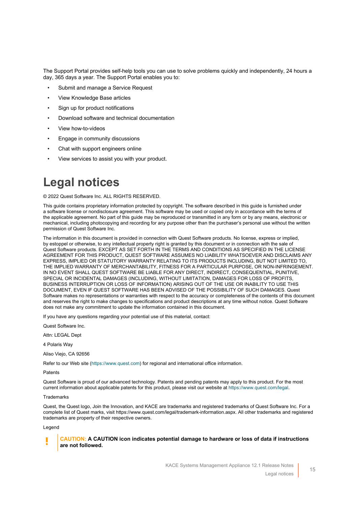The Support Portal provides self-help tools you can use to solve problems quickly and independently, 24 hours a day, 365 days a year. The Support Portal enables you to:

- Submit and manage a Service Request
- View Knowledge Base articles
- Sign up for product notifications
- Download software and technical documentation
- View how-to-videos
- Engage in community discussions
- Chat with support engineers online
- View services to assist you with your product.

## <span id="page-14-0"></span>**Legal notices**

#### © 2022 Quest Software Inc. ALL RIGHTS RESERVED.

This guide contains proprietary information protected by copyright. The software described in this guide is furnished under a software license or nondisclosure agreement. This software may be used or copied only in accordance with the terms of the applicable agreement. No part of this guide may be reproduced or transmitted in any form or by any means, electronic or mechanical, including photocopying and recording for any purpose other than the purchaser's personal use without the written permission of Quest Software Inc.

The information in this document is provided in connection with Quest Software products. No license, express or implied, by estoppel or otherwise, to any intellectual property right is granted by this document or in connection with the sale of Quest Software products. EXCEPT AS SET FORTH IN THE TERMS AND CONDITIONS AS SPECIFIED IN THE LICENSE AGREEMENT FOR THIS PRODUCT, QUEST SOFTWARE ASSUMES NO LIABILITY WHATSOEVER AND DISCLAIMS ANY EXPRESS, IMPLIED OR STATUTORY WARRANTY RELATING TO ITS PRODUCTS INCLUDING, BUT NOT LIMITED TO, THE IMPLIED WARRANTY OF MERCHANTABILITY, FITNESS FOR A PARTICULAR PURPOSE, OR NON-INFRINGEMENT. IN NO EVENT SHALL QUEST SOFTWARE BE LIABLE FOR ANY DIRECT, INDIRECT, CONSEQUENTIAL, PUNITIVE, SPECIAL OR INCIDENTAL DAMAGES (INCLUDING, WITHOUT LIMITATION, DAMAGES FOR LOSS OF PROFITS, BUSINESS INTERRUPTION OR LOSS OF INFORMATION) ARISING OUT OF THE USE OR INABILITY TO USE THIS DOCUMENT, EVEN IF QUEST SOFTWARE HAS BEEN ADVISED OF THE POSSIBILITY OF SUCH DAMAGES. Quest Software makes no representations or warranties with respect to the accuracy or completeness of the contents of this document and reserves the right to make changes to specifications and product descriptions at any time without notice. Quest Software does not make any commitment to update the information contained in this document.

If you have any questions regarding your potential use of this material, contact:

Quest Software Inc.

Attn: LEGAL Dept

4 Polaris Way

Aliso Viejo, CA 92656

Refer to our Web site [\(https://www.quest.com\)](https://www.quest.com) for regional and international office information.

Patents

Quest Software is proud of our advanced technology. Patents and pending patents may apply to this product. For the most current information about applicable patents for this product, please visit our website at <https://www.quest.com/legal>.

#### **Trademarks**

Quest, the Quest logo, Join the Innovation, and KACE are trademarks and registered trademarks of Quest Software Inc. For a complete list of Quest marks, visit<https://www.quest.com/legal/trademark-information.aspx>. All other trademarks and registered trademarks are property of their respective owners.

Legend

**CAUTION: A CAUTION icon indicates potential damage to hardware or loss of data if instructions are not followed.**